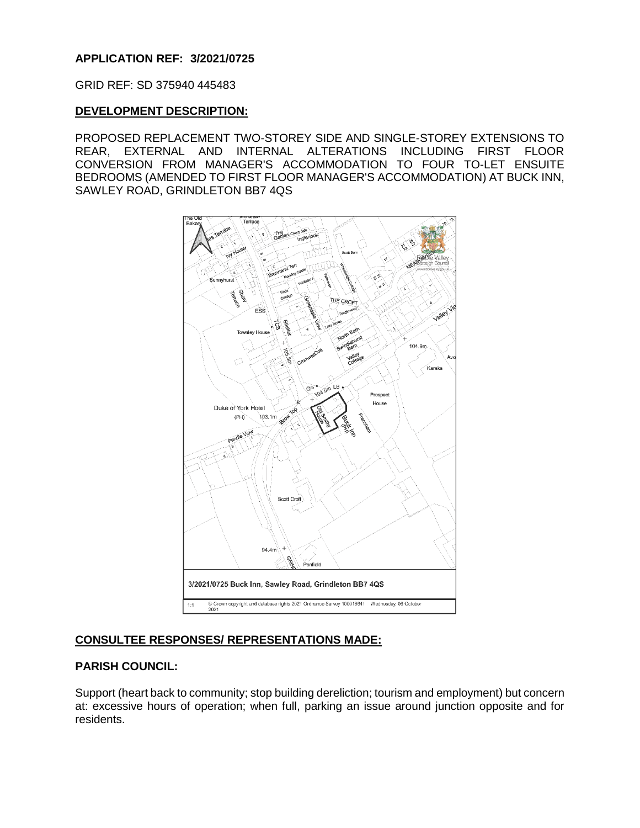## **APPLICATION REF: 3/2021/0725**

GRID REF: SD 375940 445483

## **DEVELOPMENT DESCRIPTION:**

PROPOSED REPLACEMENT TWO-STOREY SIDE AND SINGLE-STOREY EXTENSIONS TO REAR, EXTERNAL AND INTERNAL ALTERATIONS INCLUDING FIRST FLOOR CONVERSION FROM MANAGER'S ACCOMMODATION TO FOUR TO-LET ENSUITE BEDROOMS (AMENDED TO FIRST FLOOR MANAGER'S ACCOMMODATION) AT BUCK INN, SAWLEY ROAD, GRINDLETON BB7 4QS



## **CONSULTEE RESPONSES/ REPRESENTATIONS MADE:**

#### **PARISH COUNCIL:**

Support (heart back to community; stop building dereliction; tourism and employment) but concern at: excessive hours of operation; when full, parking an issue around junction opposite and for residents.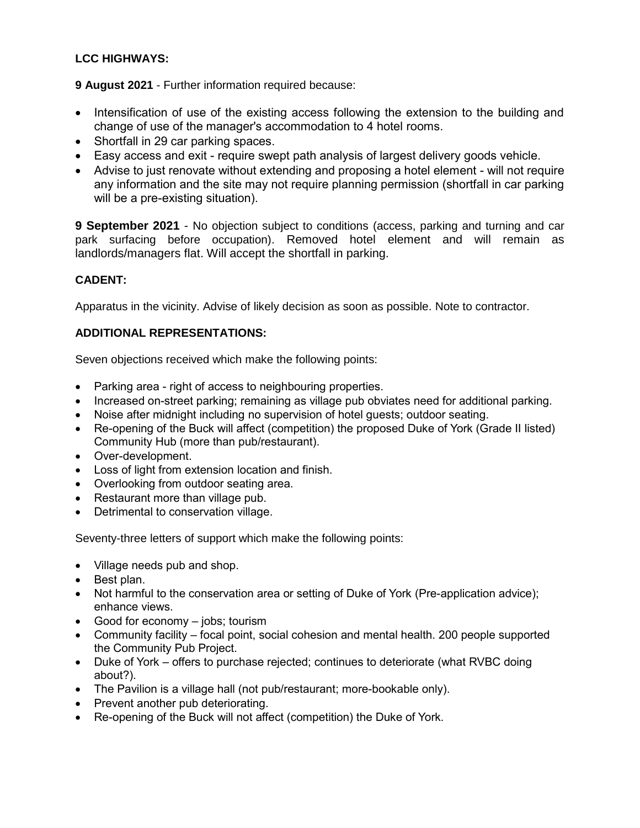# **LCC HIGHWAYS:**

**9 August 2021** - Further information required because:

- Intensification of use of the existing access following the extension to the building and change of use of the manager's accommodation to 4 hotel rooms.
- Shortfall in 29 car parking spaces.
- Easy access and exit require swept path analysis of largest delivery goods vehicle.
- Advise to just renovate without extending and proposing a hotel element will not require any information and the site may not require planning permission (shortfall in car parking will be a pre-existing situation).

**9 September 2021** - No objection subject to conditions (access, parking and turning and car park surfacing before occupation). Removed hotel element and will remain as landlords/managers flat. Will accept the shortfall in parking.

# **CADENT:**

Apparatus in the vicinity. Advise of likely decision as soon as possible. Note to contractor.

## **ADDITIONAL REPRESENTATIONS:**

Seven objections received which make the following points:

- Parking area right of access to neighbouring properties.
- Increased on-street parking; remaining as village pub obviates need for additional parking.
- Noise after midnight including no supervision of hotel guests; outdoor seating.
- Re-opening of the Buck will affect (competition) the proposed Duke of York (Grade II listed) Community Hub (more than pub/restaurant).
- Over-development.
- Loss of light from extension location and finish.
- Overlooking from outdoor seating area.
- Restaurant more than village pub.
- Detrimental to conservation village.

Seventy-three letters of support which make the following points:

- Village needs pub and shop.
- Best plan.
- Not harmful to the conservation area or setting of Duke of York (Pre-application advice); enhance views.
- Good for economy jobs; tourism
- Community facility focal point, social cohesion and mental health. 200 people supported the Community Pub Project.
- Duke of York offers to purchase rejected; continues to deteriorate (what RVBC doing about?).
- The Pavilion is a village hall (not pub/restaurant; more-bookable only).
- Prevent another pub deteriorating.
- Re-opening of the Buck will not affect (competition) the Duke of York.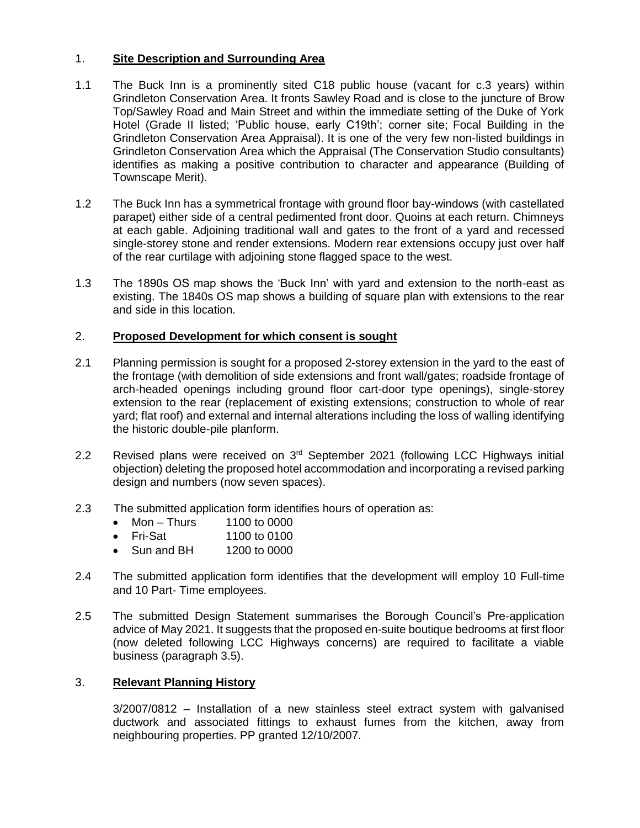## 1. **Site Description and Surrounding Area**

- 1.1 The Buck Inn is a prominently sited C18 public house (vacant for c.3 years) within Grindleton Conservation Area. It fronts Sawley Road and is close to the juncture of Brow Top/Sawley Road and Main Street and within the immediate setting of the Duke of York Hotel (Grade II listed; 'Public house, early C19th'; corner site; Focal Building in the Grindleton Conservation Area Appraisal). It is one of the very few non-listed buildings in Grindleton Conservation Area which the Appraisal (The Conservation Studio consultants) identifies as making a positive contribution to character and appearance (Building of Townscape Merit).
- 1.2 The Buck Inn has a symmetrical frontage with ground floor bay-windows (with castellated parapet) either side of a central pedimented front door. Quoins at each return. Chimneys at each gable. Adjoining traditional wall and gates to the front of a yard and recessed single-storey stone and render extensions. Modern rear extensions occupy just over half of the rear curtilage with adjoining stone flagged space to the west.
- 1.3 The 1890s OS map shows the 'Buck Inn' with yard and extension to the north-east as existing. The 1840s OS map shows a building of square plan with extensions to the rear and side in this location.

## 2. **Proposed Development for which consent is sought**

- 2.1 Planning permission is sought for a proposed 2-storey extension in the yard to the east of the frontage (with demolition of side extensions and front wall/gates; roadside frontage of arch-headed openings including ground floor cart-door type openings), single-storey extension to the rear (replacement of existing extensions; construction to whole of rear yard; flat roof) and external and internal alterations including the loss of walling identifying the historic double-pile planform.
- 2.2 Revised plans were received on  $3<sup>rd</sup>$  September 2021 (following LCC Highways initial objection) deleting the proposed hotel accommodation and incorporating a revised parking design and numbers (now seven spaces).
- 2.3 The submitted application form identifies hours of operation as:
	- $\bullet$  Mon Thurs 1100 to 0000
	- Fri-Sat 1100 to 0100
	- Sun and BH 1200 to 0000
- 2.4 The submitted application form identifies that the development will employ 10 Full-time and 10 Part- Time employees.
- 2.5 The submitted Design Statement summarises the Borough Council's Pre-application advice of May 2021. It suggests that the proposed en-suite boutique bedrooms at first floor (now deleted following LCC Highways concerns) are required to facilitate a viable business (paragraph 3.5).

#### 3. **Relevant Planning History**

3/2007/0812 – Installation of a new stainless steel extract system with galvanised ductwork and associated fittings to exhaust fumes from the kitchen, away from neighbouring properties. PP granted 12/10/2007.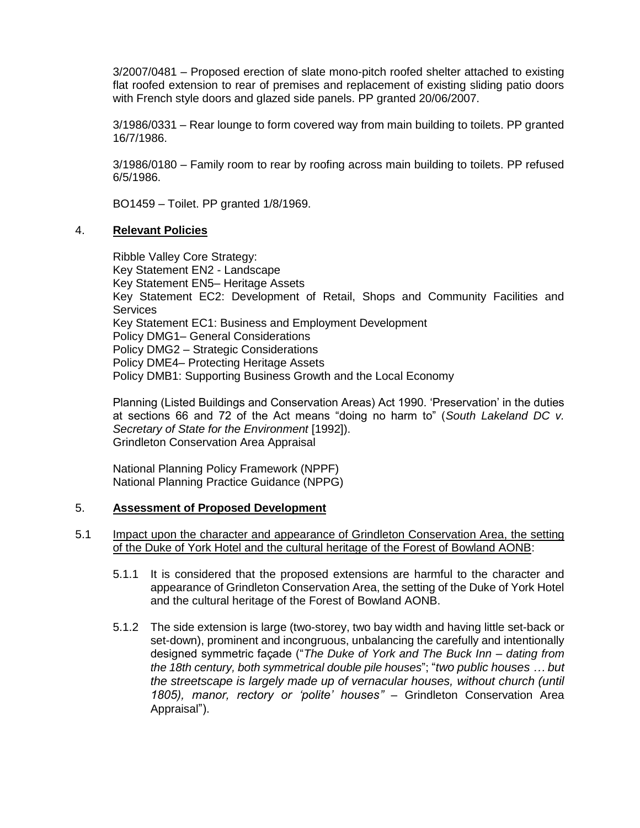3/2007/0481 – Proposed erection of slate mono-pitch roofed shelter attached to existing flat roofed extension to rear of premises and replacement of existing sliding patio doors with French style doors and glazed side panels. PP granted 20/06/2007.

3/1986/0331 – Rear lounge to form covered way from main building to toilets. PP granted 16/7/1986.

3/1986/0180 – Family room to rear by roofing across main building to toilets. PP refused 6/5/1986.

BO1459 – Toilet. PP granted 1/8/1969.

#### 4. **Relevant Policies**

Ribble Valley Core Strategy: Key Statement EN2 - Landscape Key Statement EN5– Heritage Assets Key Statement EC2: Development of Retail, Shops and Community Facilities and **Services** Key Statement EC1: Business and Employment Development Policy DMG1– General Considerations Policy DMG2 – Strategic Considerations Policy DME4– Protecting Heritage Assets Policy DMB1: Supporting Business Growth and the Local Economy

Planning (Listed Buildings and Conservation Areas) Act 1990. 'Preservation' in the duties at sections 66 and 72 of the Act means "doing no harm to" (*South Lakeland DC v. Secretary of State for the Environment* [1992]). Grindleton Conservation Area Appraisal

National Planning Policy Framework (NPPF) National Planning Practice Guidance (NPPG)

#### 5. **Assessment of Proposed Development**

- 5.1 Impact upon the character and appearance of Grindleton Conservation Area, the setting of the Duke of York Hotel and the cultural heritage of the Forest of Bowland AONB:
	- 5.1.1 It is considered that the proposed extensions are harmful to the character and appearance of Grindleton Conservation Area, the setting of the Duke of York Hotel and the cultural heritage of the Forest of Bowland AONB.
	- 5.1.2 The side extension is large (two-storey, two bay width and having little set-back or set-down), prominent and incongruous, unbalancing the carefully and intentionally designed symmetric façade ("*The Duke of York and The Buck Inn – dating from the 18th century, both symmetrical double pile houses*"; "*two public houses … but the streetscape is largely made up of vernacular houses, without church (until 1805), manor, rectory or 'polite' houses"* – Grindleton Conservation Area Appraisal").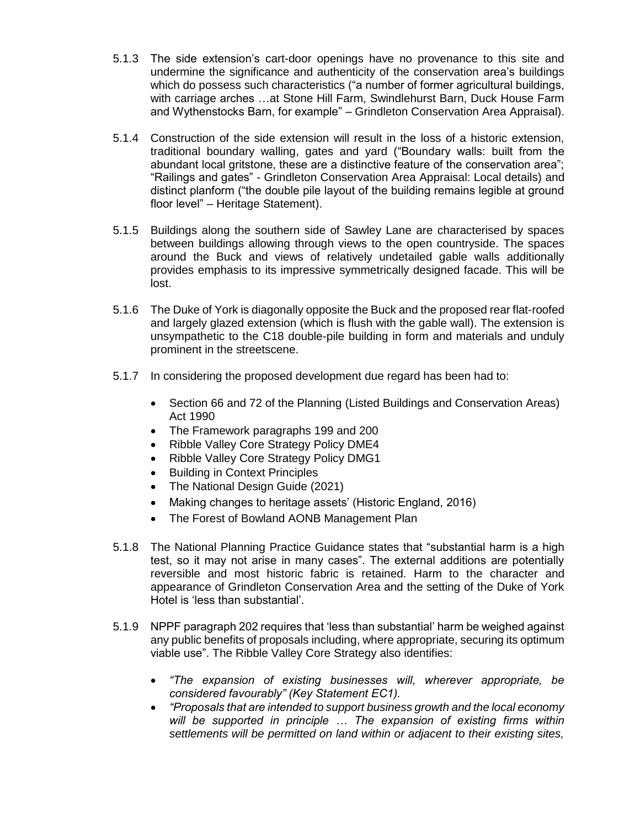- 5.1.3 The side extension's cart-door openings have no provenance to this site and undermine the significance and authenticity of the conservation area's buildings which do possess such characteristics ("a number of former agricultural buildings, with carriage arches …at Stone Hill Farm, Swindlehurst Barn, Duck House Farm and Wythenstocks Barn, for example" – Grindleton Conservation Area Appraisal).
- 5.1.4 Construction of the side extension will result in the loss of a historic extension, traditional boundary walling, gates and yard ("Boundary walls: built from the abundant local gritstone, these are a distinctive feature of the conservation area"; "Railings and gates" - Grindleton Conservation Area Appraisal: Local details) and distinct planform ("the double pile layout of the building remains legible at ground floor level" – Heritage Statement).
- 5.1.5 Buildings along the southern side of Sawley Lane are characterised by spaces between buildings allowing through views to the open countryside. The spaces around the Buck and views of relatively undetailed gable walls additionally provides emphasis to its impressive symmetrically designed facade. This will be lost.
- 5.1.6 The Duke of York is diagonally opposite the Buck and the proposed rear flat-roofed and largely glazed extension (which is flush with the gable wall). The extension is unsympathetic to the C18 double-pile building in form and materials and unduly prominent in the streetscene.
- 5.1.7 In considering the proposed development due regard has been had to:
	- Section 66 and 72 of the Planning (Listed Buildings and Conservation Areas) Act 1990
	- The Framework paragraphs 199 and 200
	- Ribble Valley Core Strategy Policy DME4
	- Ribble Valley Core Strategy Policy DMG1
	- Building in Context Principles
	- The National Design Guide (2021)
	- Making changes to heritage assets' (Historic England, 2016)
	- The Forest of Bowland AONB Management Plan
- 5.1.8 The National Planning Practice Guidance states that "substantial harm is a high test, so it may not arise in many cases". The external additions are potentially reversible and most historic fabric is retained. Harm to the character and appearance of Grindleton Conservation Area and the setting of the Duke of York Hotel is 'less than substantial'.
- 5.1.9 NPPF paragraph 202 requires that 'less than substantial' harm be weighed against any public benefits of proposals including, where appropriate, securing its optimum viable use". The Ribble Valley Core Strategy also identifies:
	- *"The expansion of existing businesses will, wherever appropriate, be considered favourably" (Key Statement EC1).*
	- *"Proposals that are intended to support business growth and the local economy will be supported in principle … The expansion of existing firms within settlements will be permitted on land within or adjacent to their existing sites,*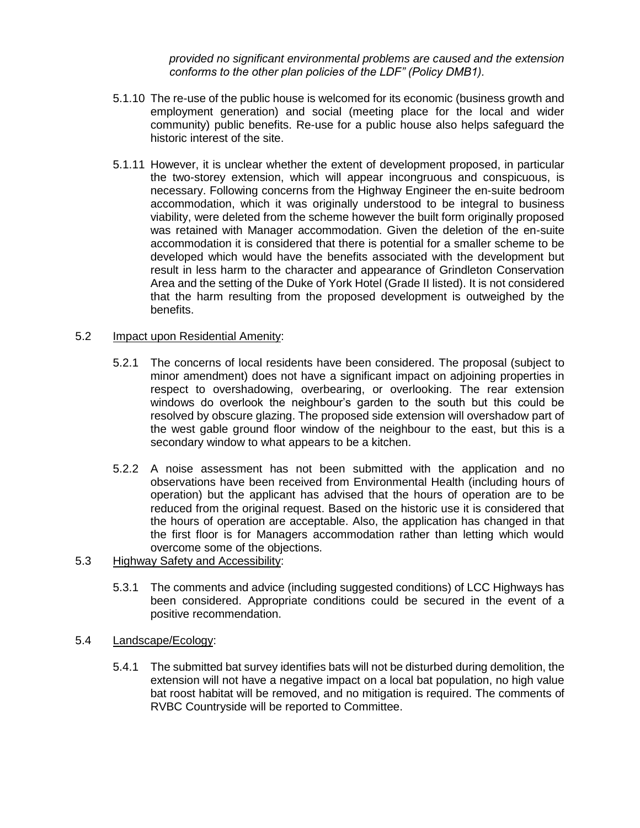*provided no significant environmental problems are caused and the extension conforms to the other plan policies of the LDF" (Policy DMB1).*

- 5.1.10 The re-use of the public house is welcomed for its economic (business growth and employment generation) and social (meeting place for the local and wider community) public benefits. Re-use for a public house also helps safeguard the historic interest of the site.
- 5.1.11 However, it is unclear whether the extent of development proposed, in particular the two-storey extension, which will appear incongruous and conspicuous, is necessary. Following concerns from the Highway Engineer the en-suite bedroom accommodation, which it was originally understood to be integral to business viability, were deleted from the scheme however the built form originally proposed was retained with Manager accommodation. Given the deletion of the en-suite accommodation it is considered that there is potential for a smaller scheme to be developed which would have the benefits associated with the development but result in less harm to the character and appearance of Grindleton Conservation Area and the setting of the Duke of York Hotel (Grade II listed). It is not considered that the harm resulting from the proposed development is outweighed by the benefits.

## 5.2 Impact upon Residential Amenity:

- 5.2.1 The concerns of local residents have been considered. The proposal (subject to minor amendment) does not have a significant impact on adjoining properties in respect to overshadowing, overbearing, or overlooking. The rear extension windows do overlook the neighbour's garden to the south but this could be resolved by obscure glazing. The proposed side extension will overshadow part of the west gable ground floor window of the neighbour to the east, but this is a secondary window to what appears to be a kitchen.
- 5.2.2 A noise assessment has not been submitted with the application and no observations have been received from Environmental Health (including hours of operation) but the applicant has advised that the hours of operation are to be reduced from the original request. Based on the historic use it is considered that the hours of operation are acceptable. Also, the application has changed in that the first floor is for Managers accommodation rather than letting which would overcome some of the objections.
- 5.3 Highway Safety and Accessibility:
	- 5.3.1 The comments and advice (including suggested conditions) of LCC Highways has been considered. Appropriate conditions could be secured in the event of a positive recommendation.
- 5.4 Landscape/Ecology:
	- 5.4.1 The submitted bat survey identifies bats will not be disturbed during demolition, the extension will not have a negative impact on a local bat population, no high value bat roost habitat will be removed, and no mitigation is required. The comments of RVBC Countryside will be reported to Committee.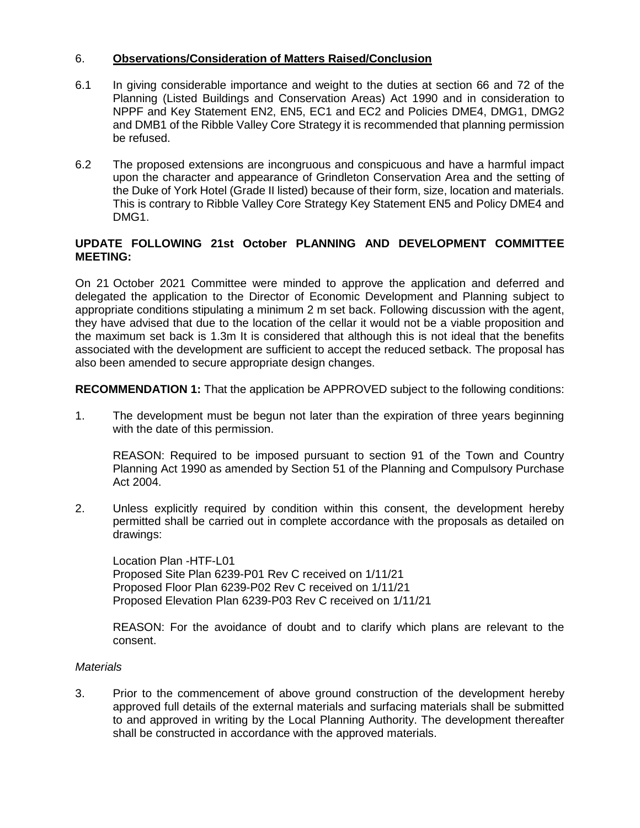## 6. **Observations/Consideration of Matters Raised/Conclusion**

- 6.1 In giving considerable importance and weight to the duties at section 66 and 72 of the Planning (Listed Buildings and Conservation Areas) Act 1990 and in consideration to NPPF and Key Statement EN2, EN5, EC1 and EC2 and Policies DME4, DMG1, DMG2 and DMB1 of the Ribble Valley Core Strategy it is recommended that planning permission be refused.
- 6.2 The proposed extensions are incongruous and conspicuous and have a harmful impact upon the character and appearance of Grindleton Conservation Area and the setting of the Duke of York Hotel (Grade II listed) because of their form, size, location and materials. This is contrary to Ribble Valley Core Strategy Key Statement EN5 and Policy DME4 and DMG1.

## **UPDATE FOLLOWING 21st October PLANNING AND DEVELOPMENT COMMITTEE MEETING:**

On 21 October 2021 Committee were minded to approve the application and deferred and delegated the application to the Director of Economic Development and Planning subject to appropriate conditions stipulating a minimum 2 m set back. Following discussion with the agent, they have advised that due to the location of the cellar it would not be a viable proposition and the maximum set back is 1.3m It is considered that although this is not ideal that the benefits associated with the development are sufficient to accept the reduced setback. The proposal has also been amended to secure appropriate design changes.

**RECOMMENDATION 1:** That the application be APPROVED subject to the following conditions:

1. The development must be begun not later than the expiration of three years beginning with the date of this permission.

REASON: Required to be imposed pursuant to section 91 of the Town and Country Planning Act 1990 as amended by Section 51 of the Planning and Compulsory Purchase Act 2004.

2. Unless explicitly required by condition within this consent, the development hereby permitted shall be carried out in complete accordance with the proposals as detailed on drawings:

Location Plan -HTF-L01 Proposed Site Plan 6239-P01 Rev C received on 1/11/21 Proposed Floor Plan 6239-P02 Rev C received on 1/11/21 Proposed Elevation Plan 6239-P03 Rev C received on 1/11/21

REASON: For the avoidance of doubt and to clarify which plans are relevant to the consent.

#### *Materials*

3. Prior to the commencement of above ground construction of the development hereby approved full details of the external materials and surfacing materials shall be submitted to and approved in writing by the Local Planning Authority. The development thereafter shall be constructed in accordance with the approved materials.